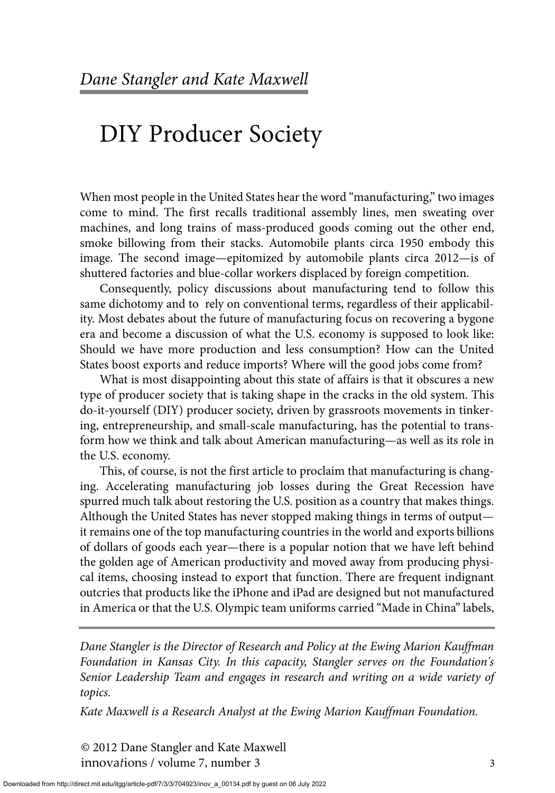# DIY Producer Society

When most people in the United States hear the word "manufacturing," two images come to mind. The first recalls traditional assembly lines, men sweating over machines, and long trains of mass-produced goods coming out the other end, smoke billowing from their stacks. Automobile plants circa 1950 embody this image. The second image—epitomized by automobile plants circa 2012—is of shuttered factories and blue-collar workers displaced by foreign competition.

Consequently, policy discussions about manufacturing tend to follow this same dichotomy and to rely on conventional terms, regardless of their applicability. Most debates about the future of manufacturing focus on recovering a bygone era and become a discussion of what the U.S. economy is supposed to look like: Should we have more production and less consumption? How can the United States boost exports and reduce imports? Where will the good jobs come from?

What is most disappointing about this state of affairs is that it obscures a new type of producer society that is taking shape in the cracks in the old system. This do-it-yourself (DIY) producer society, driven by grassroots movements in tinkering, entrepreneurship, and small-scale manufacturing, has the potential to transform how we think and talk about American manufacturing—as well as its role in the U.S. economy.

This, of course, is not the first article to proclaim that manufacturing is changing. Accelerating manufacturing job losses during the Great Recession have spurred much talk about restoring the U.S. position as a country that makes things. Although the United States has never stopped making things in terms of output it remains one of the top manufacturing countries in the world and exports billions of dollars of goods each year—there is a popular notion that we have left behind the golden age of American productivity and moved away from producing physical items, choosing instead to export that function. There are frequent indignant outcries that products like the iPhone and iPad are designed but not manufactured in America or that the U.S. Olympic team uniforms carried "Made in China" labels,

*Dane Stangler is the Director of Research and Policy at the Ewing Marion Kauffman Foundation in Kansas City. In this capacity, Stangler serves on the Foundation's Senior Leadership Team and engages in research and writing on a wide variety of topics.*

*Kate Maxwell is a Research Analyst at the Ewing Marion Kauffman Foundation.*

© 2012 Dane Stangler and Kate Maxwell innovations / volume 7, number 3 3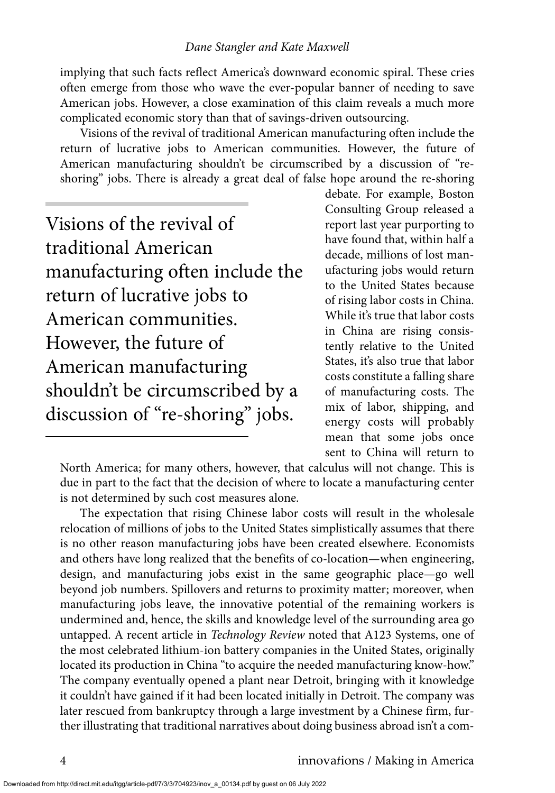implying that such facts reflect America's downward economic spiral. These cries often emerge from those who wave the ever-popular banner of needing to save American jobs. However, a close examination of this claim reveals a much more complicated economic story than that of savings-driven outsourcing.

Visions of the revival of traditional American manufacturing often include the return of lucrative jobs to American communities. However, the future of American manufacturing shouldn't be circumscribed by a discussion of "reshoring" jobs. There is already a great deal of false hope around the re-shoring

Visions of the revival of traditional American manufacturing often include the return of lucrative jobs to American communities. However, the future of American manufacturing shouldn't be circumscribed by a discussion of "re-shoring" jobs.

debate. For example, Boston Consulting Group released a report last year purporting to have found that, within half a decade, millions of lost manufacturing jobs would return to the United States because of rising labor costs in China. While it's true that labor costs in China are rising consistently relative to the United States, it's also true that labor costs constitute a falling share of manufacturing costs. The mix of labor, shipping, and energy costs will probably mean that some jobs once sent to China will return to

North America; for many others, however, that calculus will not change. This is due in part to the fact that the decision of where to locate a manufacturing center is not determined by such cost measures alone.

The expectation that rising Chinese labor costs will result in the wholesale relocation of millions of jobs to the United States simplistically assumes that there is no other reason manufacturing jobs have been created elsewhere. Economists and others have long realized that the benefits of co-location—when engineering, design, and manufacturing jobs exist in the same geographic place—go well beyond job numbers. Spillovers and returns to proximity matter; moreover, when manufacturing jobs leave, the innovative potential of the remaining workers is undermined and, hence, the skills and knowledge level of the surrounding area go untapped. A recent article in *Technology Review* noted that A123 Systems, one of the most celebrated lithium-ion battery companies in the United States, originally located its production in China "to acquire the needed manufacturing know-how." The company eventually opened a plant near Detroit, bringing with it knowledge it couldn't have gained if it had been located initially in Detroit. The company was later rescued from bankruptcy through a large investment by a Chinese firm, further illustrating that traditional narratives about doing business abroad isn't a com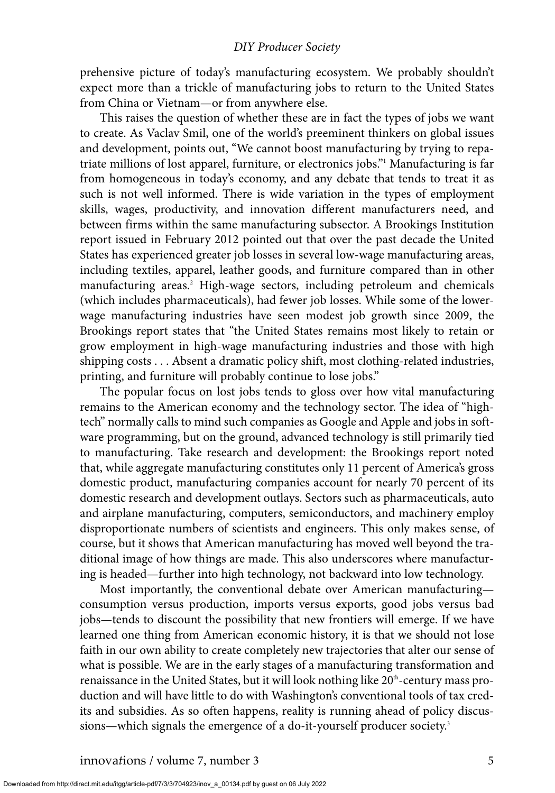prehensive picture of today's manufacturing ecosystem. We probably shouldn't expect more than a trickle of manufacturing jobs to return to the United States from China or Vietnam—or from anywhere else.

This raises the question of whether these are in fact the types of jobs we want to create. As Vaclav Smil, one of the world's preeminent thinkers on global issues and development, points out, "We cannot boost manufacturing by trying to repatriate millions of lost apparel, furniture, or electronics jobs."<sup>1</sup> Manufacturing is far from homogeneous in today's economy, and any debate that tends to treat it as such is not well informed. There is wide variation in the types of employment skills, wages, productivity, and innovation different manufacturers need, and between firms within the same manufacturing subsector. A Brookings Institution report issued in February 2012 pointed out that over the past decade the United States has experienced greater job losses in several low-wage manufacturing areas, including textiles, apparel, leather goods, and furniture compared than in other manufacturing areas.2 High-wage sectors, including petroleum and chemicals (which includes pharmaceuticals), had fewer job losses. While some of the lowerwage manufacturing industries have seen modest job growth since 2009, the Brookings report states that "the United States remains most likely to retain or grow employment in high-wage manufacturing industries and those with high shipping costs . . . Absent a dramatic policy shift, most clothing-related industries, printing, and furniture will probably continue to lose jobs."

The popular focus on lost jobs tends to gloss over how vital manufacturing remains to the American economy and the technology sector. The idea of "hightech" normally calls to mind such companies as Google and Apple and jobs in software programming, but on the ground, advanced technology is still primarily tied to manufacturing. Take research and development: the Brookings report noted that, while aggregate manufacturing constitutes only 11 percent of America's gross domestic product, manufacturing companies account for nearly 70 percent of its domestic research and development outlays. Sectors such as pharmaceuticals, auto and airplane manufacturing, computers, semiconductors, and machinery employ disproportionate numbers of scientists and engineers. This only makes sense, of course, but it shows that American manufacturing has moved well beyond the traditional image of how things are made. This also underscores where manufacturing is headed—further into high technology, not backward into low technology.

Most importantly, the conventional debate over American manufacturing consumption versus production, imports versus exports, good jobs versus bad jobs—tends to discount the possibility that new frontiers will emerge. If we have learned one thing from American economic history, it is that we should not lose faith in our own ability to create completely new trajectories that alter our sense of what is possible. We are in the early stages of a manufacturing transformation and renaissance in the United States, but it will look nothing like 20<sup>th</sup>-century mass production and will have little to do with Washington's conventional tools of tax credits and subsidies. As so often happens, reality is running ahead of policy discussions—which signals the emergence of a do-it-yourself producer society.<sup>3</sup>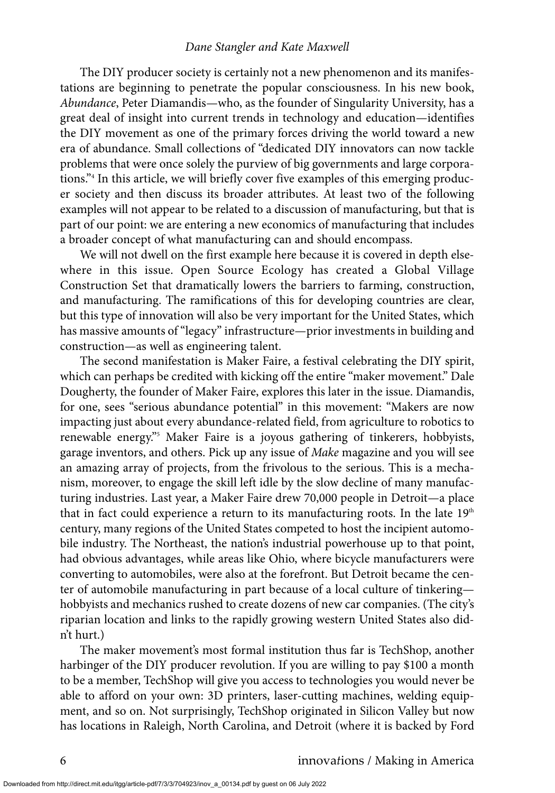#### *Dane Stangler and Kate Maxwell*

The DIY producer society is certainly not a new phenomenon and its manifestations are beginning to penetrate the popular consciousness. In his new book, *Abundance*, Peter Diamandis—who, as the founder of Singularity University, has a great deal of insight into current trends in technology and education—identifies the DIY movement as one of the primary forces driving the world toward a new era of abundance. Small collections of "dedicated DIY innovators can now tackle problems that were once solely the purview of big governments and large corporations."4 In this article, we will briefly cover five examples of this emerging producer society and then discuss its broader attributes. At least two of the following examples will not appear to be related to a discussion of manufacturing, but that is part of our point: we are entering a new economics of manufacturing that includes a broader concept of what manufacturing can and should encompass.

We will not dwell on the first example here because it is covered in depth elsewhere in this issue. Open Source Ecology has created a Global Village Construction Set that dramatically lowers the barriers to farming, construction, and manufacturing. The ramifications of this for developing countries are clear, but this type of innovation will also be very important for the United States, which has massive amounts of "legacy" infrastructure—prior investments in building and construction—as well as engineering talent.

The second manifestation is Maker Faire, a festival celebrating the DIY spirit, which can perhaps be credited with kicking off the entire "maker movement." Dale Dougherty, the founder of Maker Faire, explores this later in the issue. Diamandis, for one, sees "serious abundance potential" in this movement: "Makers are now impacting just about every abundance-related field, from agriculture to robotics to renewable energy."5 Maker Faire is a joyous gathering of tinkerers, hobbyists, garage inventors, and others. Pick up any issue of *Make* magazine and you will see an amazing array of projects, from the frivolous to the serious. This is a mechanism, moreover, to engage the skill left idle by the slow decline of many manufacturing industries. Last year, a Maker Faire drew 70,000 people in Detroit—a place that in fact could experience a return to its manufacturing roots. In the late  $19<sup>th</sup>$ century, many regions of the United States competed to host the incipient automobile industry. The Northeast, the nation's industrial powerhouse up to that point, had obvious advantages, while areas like Ohio, where bicycle manufacturers were converting to automobiles, were also at the forefront. But Detroit became the center of automobile manufacturing in part because of a local culture of tinkering hobbyists and mechanics rushed to create dozens of new car companies. (The city's riparian location and links to the rapidly growing western United States also didn't hurt.)

The maker movement's most formal institution thus far is TechShop, another harbinger of the DIY producer revolution. If you are willing to pay \$100 a month to be a member, TechShop will give you access to technologies you would never be able to afford on your own: 3D printers, laser-cutting machines, welding equipment, and so on. Not surprisingly, TechShop originated in Silicon Valley but now has locations in Raleigh, North Carolina, and Detroit (where it is backed by Ford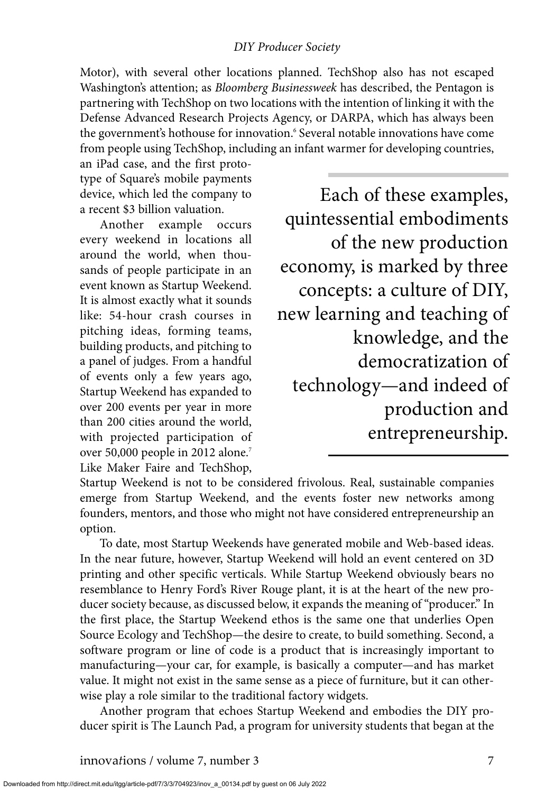### *DIY Producer Society*

Motor), with several other locations planned. TechShop also has not escaped Washington's attention; as *Bloomberg Businessweek* has described, the Pentagon is partnering with TechShop on two locations with the intention of linking it with the Defense Advanced Research Projects Agency, or DARPA, which has always been the government's hothouse for innovation.<sup>6</sup> Several notable innovations have come from people using TechShop, including an infant warmer for developing countries,

an iPad case, and the first prototype of Square's mobile payments device, which led the company to a recent \$3 billion valuation.

Another example occurs every weekend in locations all around the world, when thousands of people participate in an event known as Startup Weekend. It is almost exactly what it sounds like: 54-hour crash courses in pitching ideas, forming teams, building products, and pitching to a panel of judges. From a handful of events only a few years ago, Startup Weekend has expanded to over 200 events per year in more than 200 cities around the world, with projected participation of over 50,000 people in 2012 alone.<sup>7</sup> Like Maker Faire and TechShop,

Each of these examples, quintessential embodiments of the new production economy, is marked by three concepts: a culture of DIY, new learning and teaching of knowledge, and the democratization of technology—and indeed of production and entrepreneurship.

Startup Weekend is not to be considered frivolous. Real, sustainable companies emerge from Startup Weekend, and the events foster new networks among founders, mentors, and those who might not have considered entrepreneurship an option.

To date, most Startup Weekends have generated mobile and Web-based ideas. In the near future, however, Startup Weekend will hold an event centered on 3D printing and other specific verticals. While Startup Weekend obviously bears no resemblance to Henry Ford's River Rouge plant, it is at the heart of the new producer society because, as discussed below, it expands the meaning of "producer." In the first place, the Startup Weekend ethos is the same one that underlies Open Source Ecology and TechShop—the desire to create, to build something. Second, a software program or line of code is a product that is increasingly important to manufacturing—your car, for example, is basically a computer—and has market value. It might not exist in the same sense as a piece of furniture, but it can otherwise play a role similar to the traditional factory widgets.

Another program that echoes Startup Weekend and embodies the DIY producer spirit is The Launch Pad, a program for university students that began at the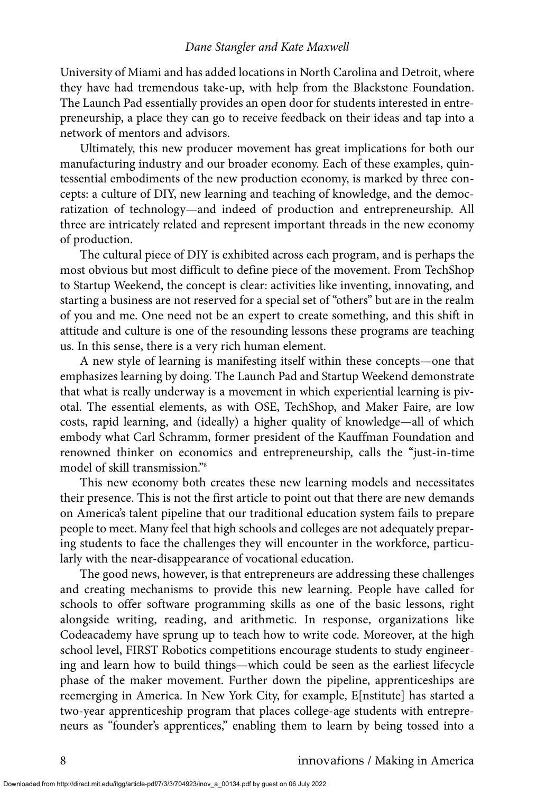#### *Dane Stangler and Kate Maxwell*

University of Miami and has added locations in North Carolina and Detroit, where they have had tremendous take-up, with help from the Blackstone Foundation. The Launch Pad essentially provides an open door for students interested in entrepreneurship, a place they can go to receive feedback on their ideas and tap into a network of mentors and advisors.

Ultimately, this new producer movement has great implications for both our manufacturing industry and our broader economy. Each of these examples, quintessential embodiments of the new production economy, is marked by three concepts: a culture of DIY, new learning and teaching of knowledge, and the democratization of technology—and indeed of production and entrepreneurship. All three are intricately related and represent important threads in the new economy of production.

The cultural piece of DIY is exhibited across each program, and is perhaps the most obvious but most difficult to define piece of the movement. From TechShop to Startup Weekend, the concept is clear: activities like inventing, innovating, and starting a business are not reserved for a special set of "others" but are in the realm of you and me. One need not be an expert to create something, and this shift in attitude and culture is one of the resounding lessons these programs are teaching us. In this sense, there is a very rich human element.

A new style of learning is manifesting itself within these concepts—one that emphasizes learning by doing. The Launch Pad and Startup Weekend demonstrate that what is really underway is a movement in which experiential learning is pivotal. The essential elements, as with OSE, TechShop, and Maker Faire, are low costs, rapid learning, and (ideally) a higher quality of knowledge—all of which embody what Carl Schramm, former president of the Kauffman Foundation and renowned thinker on economics and entrepreneurship, calls the "just-in-time model of skill transmission."8

This new economy both creates these new learning models and necessitates their presence. This is not the first article to point out that there are new demands on America's talent pipeline that our traditional education system fails to prepare people to meet. Many feel that high schools and colleges are not adequately preparing students to face the challenges they will encounter in the workforce, particularly with the near-disappearance of vocational education.

The good news, however, is that entrepreneurs are addressing these challenges and creating mechanisms to provide this new learning. People have called for schools to offer software programming skills as one of the basic lessons, right alongside writing, reading, and arithmetic. In response, organizations like Codeacademy have sprung up to teach how to write code. Moreover, at the high school level, FIRST Robotics competitions encourage students to study engineering and learn how to build things—which could be seen as the earliest lifecycle phase of the maker movement. Further down the pipeline, apprenticeships are reemerging in America. In New York City, for example, E[nstitute] has started a two-year apprenticeship program that places college-age students with entrepreneurs as "founder's apprentices," enabling them to learn by being tossed into a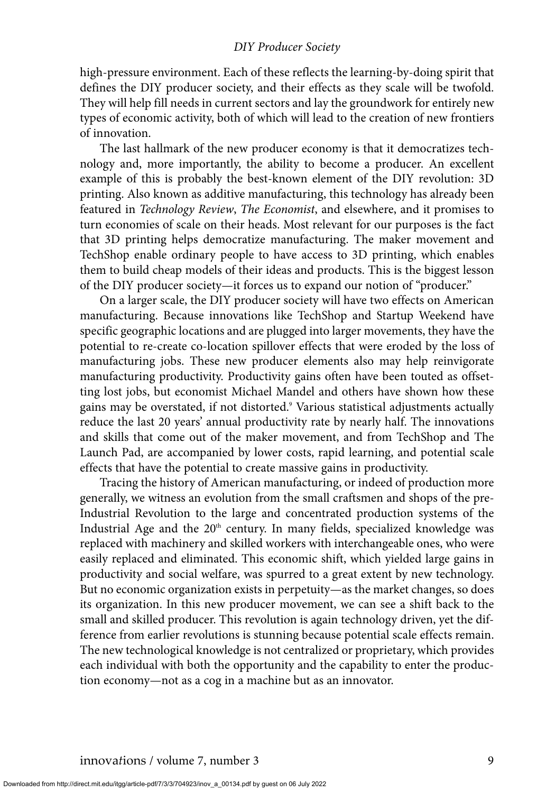#### *DIY Producer Society*

high-pressure environment. Each of these reflects the learning-by-doing spirit that defines the DIY producer society, and their effects as they scale will be twofold. They will help fill needs in current sectors and lay the groundwork for entirely new types of economic activity, both of which will lead to the creation of new frontiers of innovation.

The last hallmark of the new producer economy is that it democratizes technology and, more importantly, the ability to become a producer. An excellent example of this is probably the best-known element of the DIY revolution: 3D printing. Also known as additive manufacturing, this technology has already been featured in *Technology Review*, *The Economist*, and elsewhere, and it promises to turn economies of scale on their heads. Most relevant for our purposes is the fact that 3D printing helps democratize manufacturing. The maker movement and TechShop enable ordinary people to have access to 3D printing, which enables them to build cheap models of their ideas and products. This is the biggest lesson of the DIY producer society—it forces us to expand our notion of "producer."

On a larger scale, the DIY producer society will have two effects on American manufacturing. Because innovations like TechShop and Startup Weekend have specific geographic locations and are plugged into larger movements, they have the potential to re-create co-location spillover effects that were eroded by the loss of manufacturing jobs. These new producer elements also may help reinvigorate manufacturing productivity. Productivity gains often have been touted as offsetting lost jobs, but economist Michael Mandel and others have shown how these gains may be overstated, if not distorted.<sup>9</sup> Various statistical adjustments actually reduce the last 20 years' annual productivity rate by nearly half. The innovations and skills that come out of the maker movement, and from TechShop and The Launch Pad, are accompanied by lower costs, rapid learning, and potential scale effects that have the potential to create massive gains in productivity.

Tracing the history of American manufacturing, or indeed of production more generally, we witness an evolution from the small craftsmen and shops of the pre-Industrial Revolution to the large and concentrated production systems of the Industrial Age and the  $20<sup>th</sup>$  century. In many fields, specialized knowledge was replaced with machinery and skilled workers with interchangeable ones, who were easily replaced and eliminated. This economic shift, which yielded large gains in productivity and social welfare, was spurred to a great extent by new technology. But no economic organization exists in perpetuity—as the market changes, so does its organization. In this new producer movement, we can see a shift back to the small and skilled producer. This revolution is again technology driven, yet the difference from earlier revolutions is stunning because potential scale effects remain. The new technological knowledge is not centralized or proprietary, which provides each individual with both the opportunity and the capability to enter the production economy—not as a cog in a machine but as an innovator.